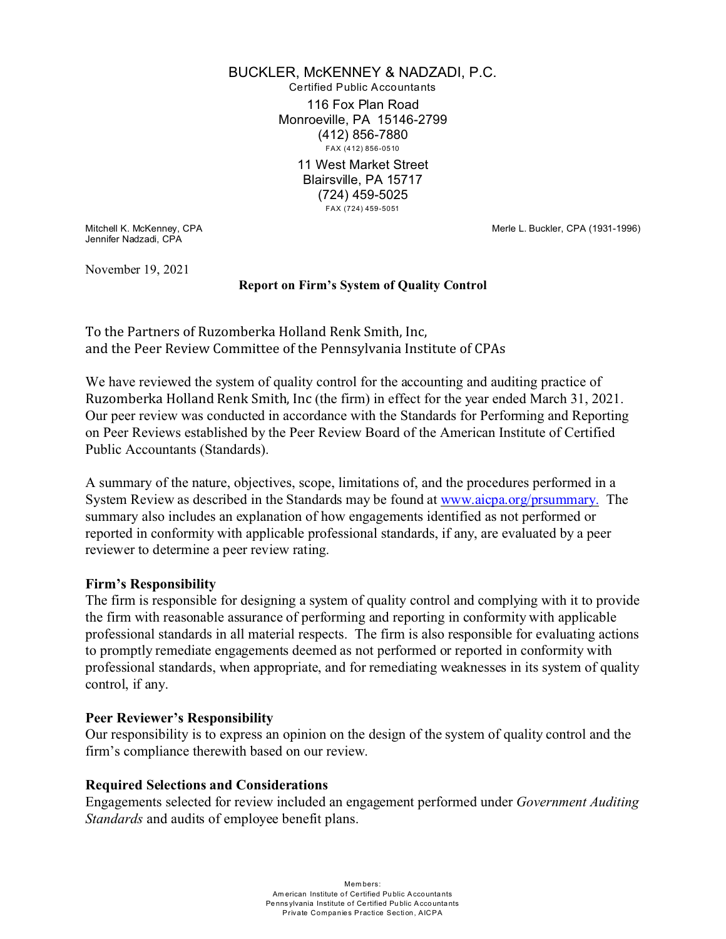BUCKLER, McKENNEY & NADZADI, P.C. Certified Public Accountants 116 Fox Plan Road Monroeville, PA 15146-2799 (412) 856-7880 FAX (412) 856-0510 11 West Market Street Blairsville, PA 15717 (724) 459-5025 FAX (724) 459-5051

Jennifer Nadzadi, CPA

Mitchell K. McKenney, CPA Merle L. Buckler, CPA (1931-1996)

November 19, 2021

#### **Report on Firm's System of Quality Control**

To the Partners of Ruzomberka Holland Renk Smith, Inc, and the Peer Review Committee of the Pennsylvania Institute of CPAs

We have reviewed the system of quality control for the accounting and auditing practice of Ruzomberka Holland Renk Smith, Inc (the firm) in effect for the year ended March 31, 2021. Our peer review was conducted in accordance with the Standards for Performing and Reporting on Peer Reviews established by the Peer Review Board of the American Institute of Certified Public Accountants (Standards).

A summary of the nature, objectives, scope, limitations of, and the procedures performed in a System Review as described in the Standards may be found at [www.aicpa.org/prsummary.](http://www.aicpa.org/prsummary.) The summary also includes an explanation of how engagements identified as not performed or reported in conformity with applicable professional standards, if any, are evaluated by a peer reviewer to determine a peer review rating.

## **Firm's Responsibility**

The firm is responsible for designing a system of quality control and complying with it to provide the firm with reasonable assurance of performing and reporting in conformity with applicable professional standards in all material respects. The firm is also responsible for evaluating actions to promptly remediate engagements deemed as not performed or reported in conformity with professional standards, when appropriate, and for remediating weaknesses in its system of quality control, if any.

## **Peer Reviewer's Responsibility**

Our responsibility is to express an opinion on the design of the system of quality control and the firm's compliance therewith based on our review.

## **Required Selections and Considerations**

Engagements selected for review included an engagement performed under *Government Auditing Standards* and audits of employee benefit plans.